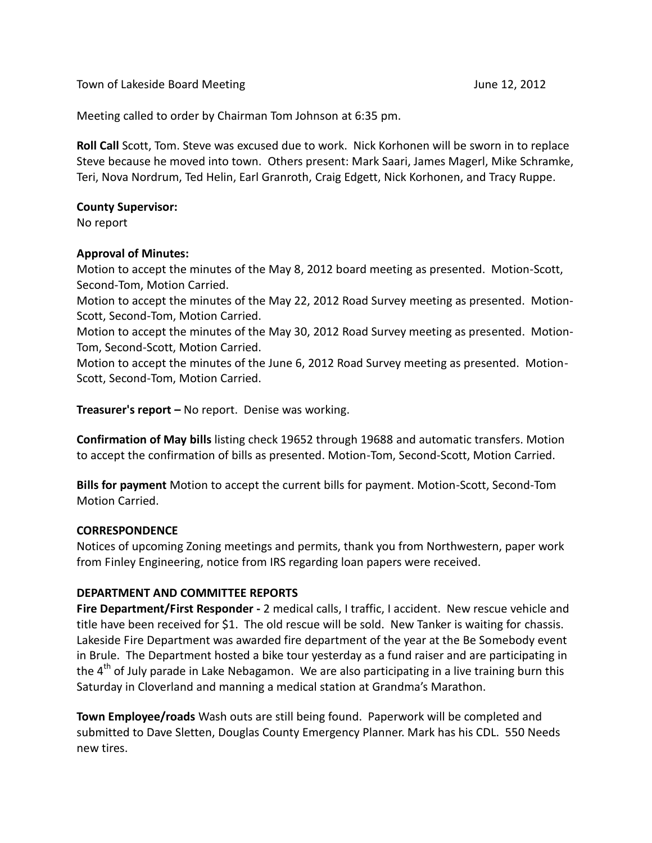Town of Lakeside Board Meeting The Control of Lakeside Board Meeting June 12, 2012

Meeting called to order by Chairman Tom Johnson at 6:35 pm.

**Roll Call** Scott, Tom. Steve was excused due to work. Nick Korhonen will be sworn in to replace Steve because he moved into town. Others present: Mark Saari, James Magerl, Mike Schramke, Teri, Nova Nordrum, Ted Helin, Earl Granroth, Craig Edgett, Nick Korhonen, and Tracy Ruppe.

#### **County Supervisor:**

No report

# **Approval of Minutes:**

Motion to accept the minutes of the May 8, 2012 board meeting as presented. Motion-Scott, Second-Tom, Motion Carried.

Motion to accept the minutes of the May 22, 2012 Road Survey meeting as presented. Motion-Scott, Second-Tom, Motion Carried.

Motion to accept the minutes of the May 30, 2012 Road Survey meeting as presented. Motion-Tom, Second-Scott, Motion Carried.

Motion to accept the minutes of the June 6, 2012 Road Survey meeting as presented. Motion-Scott, Second-Tom, Motion Carried.

**Treasurer's report –** No report. Denise was working.

**Confirmation of May bills** listing check 19652 through 19688 and automatic transfers. Motion to accept the confirmation of bills as presented. Motion-Tom, Second-Scott, Motion Carried.

**Bills for payment** Motion to accept the current bills for payment. Motion-Scott, Second-Tom Motion Carried.

# **CORRESPONDENCE**

Notices of upcoming Zoning meetings and permits, thank you from Northwestern, paper work from Finley Engineering, notice from IRS regarding loan papers were received.

#### **DEPARTMENT AND COMMITTEE REPORTS**

**Fire Department/First Responder -** 2 medical calls, I traffic, I accident. New rescue vehicle and title have been received for \$1. The old rescue will be sold. New Tanker is waiting for chassis. Lakeside Fire Department was awarded fire department of the year at the Be Somebody event in Brule. The Department hosted a bike tour yesterday as a fund raiser and are participating in the  $4<sup>th</sup>$  of July parade in Lake Nebagamon. We are also participating in a live training burn this Saturday in Cloverland and manning a medical station at Grandma's Marathon.

**Town Employee/roads** Wash outs are still being found. Paperwork will be completed and submitted to Dave Sletten, Douglas County Emergency Planner. Mark has his CDL. 550 Needs new tires.